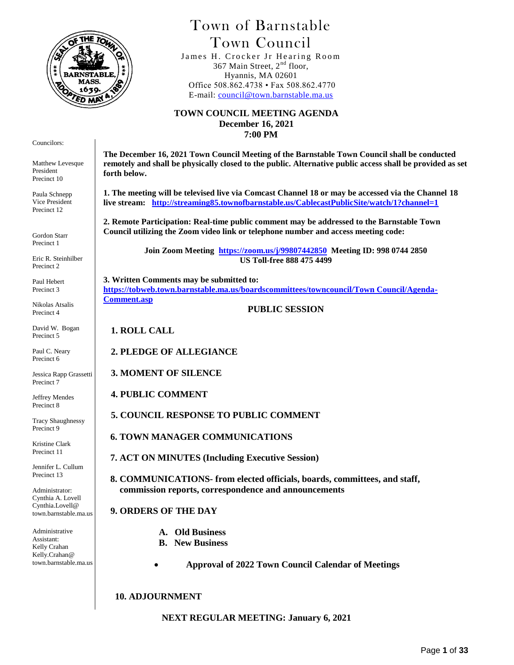

# Town of Barnstable Town Council

James H. Crocker Jr Hearing Room 367 Main Street, 2<sup>nd</sup> floor, Hyannis, MA 02601 Office 508.862.4738 • Fax 508.862.4770 E-mail: [council@town.barnstable.ma.us](mailto:council@town.barnstable.ma.us)

#### **TOWN COUNCIL MEETING AGENDA December 16, 2021 7:00 PM**

Councilors:

Matthew Levesque President Precinct 10

Paula Schnepp Vice President Precinct 12

Gordon Starr Precinct 1

Eric R. Steinhilber Precinct 2

Paul Hebert Precinct 3

Nikolas Atsalis Precinct 4

David W. Bogan Precinct 5

Paul C. Neary Precinct 6

Jessica Rapp Grassetti Precinct 7

Jeffrey Mendes Precinct 8

Tracy Shaughnessy Precinct 9

Kristine Clark Precinct 11

Jennifer L. Cullum Precinct 13

Administrator: Cynthia A. Lovell Cynthia.Lovell@ town.barnstable.ma.us

Administrative Assistant: Kelly Crahan Kelly.Crahan@ town.barnstable.ma.us

**The December 16, 2021 Town Council Meeting of the Barnstable Town Council shall be conducted remotely and shall be physically closed to the public. Alternative public access shall be provided as set forth below.** 

**1. The meeting will be televised live via Comcast Channel 18 or may be accessed via the Channel 18 live stream: <http://streaming85.townofbarnstable.us/CablecastPublicSite/watch/1?channel=1>**

**2. Remote Participation: Real-time public comment may be addressed to the Barnstable Town Council utilizing the Zoom video link or telephone number and access meeting code:**

> **Join Zoom Meeting <https://zoom.us/j/99807442850>Meeting ID: 998 0744 2850 US Toll-free 888 475 4499**

**3. Written Comments may be submitted to: [https://tobweb.town.barnstable.ma.us/boardscommittees/towncouncil/Town Council/Agenda-](https://tobweb.town.barnstable.ma.us/boardscommittees/towncouncil/Town%20Council/Agenda-Comment.asp)[Comment.asp](https://tobweb.town.barnstable.ma.us/boardscommittees/towncouncil/Town%20Council/Agenda-Comment.asp)**

**PUBLIC SESSION**

**1. ROLL CALL**

**2. PLEDGE OF ALLEGIANCE**

**3. MOMENT OF SILENCE**

**4. PUBLIC COMMENT**

**5. COUNCIL RESPONSE TO PUBLIC COMMENT**

 **6. TOWN MANAGER COMMUNICATIONS**

 **7. ACT ON MINUTES (Including Executive Session)**

 **8. COMMUNICATIONS- from elected officials, boards, committees, and staff, commission reports, correspondence and announcements**

## **9. ORDERS OF THE DAY**

- **A. Old Business**
- **B. New Business**

 **Approval of 2022 Town Council Calendar of Meetings**

 **10. ADJOURNMENT**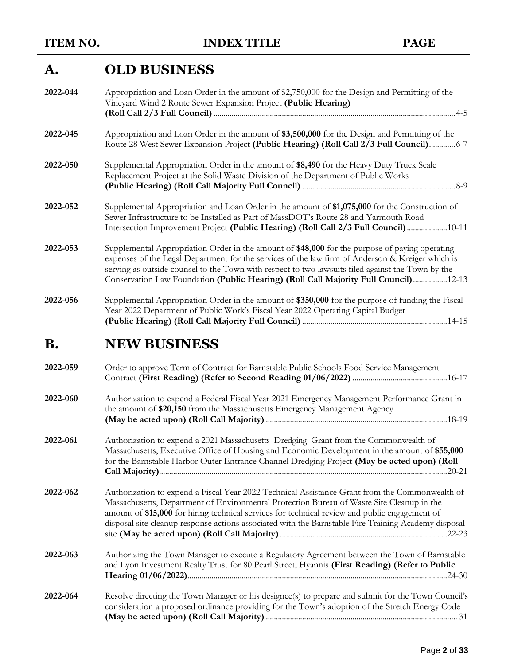**ITEM NO. INDEX TITLE PAGE** 

# **A. OLD BUSINESS**

| 2022-044  | Appropriation and Loan Order in the amount of \$2,750,000 for the Design and Permitting of the<br>Vineyard Wind 2 Route Sewer Expansion Project (Public Hearing)                                                                                                                                                                                                                               |
|-----------|------------------------------------------------------------------------------------------------------------------------------------------------------------------------------------------------------------------------------------------------------------------------------------------------------------------------------------------------------------------------------------------------|
| 2022-045  | Appropriation and Loan Order in the amount of \$3,500,000 for the Design and Permitting of the<br>Route 28 West Sewer Expansion Project (Public Hearing) (Roll Call 2/3 Full Council) 6-7                                                                                                                                                                                                      |
| 2022-050  | Supplemental Appropriation Order in the amount of \$8,490 for the Heavy Duty Truck Scale<br>Replacement Project at the Solid Waste Division of the Department of Public Works                                                                                                                                                                                                                  |
| 2022-052  | Supplemental Appropriation and Loan Order in the amount of \$1,075,000 for the Construction of<br>Sewer Infrastructure to be Installed as Part of MassDOT's Route 28 and Yarmouth Road<br>Intersection Improvement Project (Public Hearing) (Roll Call 2/3 Full Council)  10-11                                                                                                                |
| 2022-053  | Supplemental Appropriation Order in the amount of \$48,000 for the purpose of paying operating<br>expenses of the Legal Department for the services of the law firm of Anderson & Kreiger which is<br>serving as outside counsel to the Town with respect to two lawsuits filed against the Town by the<br>Conservation Law Foundation (Public Hearing) (Roll Call Majority Full Council)12-13 |
| 2022-056  | Supplemental Appropriation Order in the amount of \$350,000 for the purpose of funding the Fiscal<br>Year 2022 Department of Public Work's Fiscal Year 2022 Operating Capital Budget                                                                                                                                                                                                           |
| <b>B.</b> | <b>NEW BUSINESS</b>                                                                                                                                                                                                                                                                                                                                                                            |
| 2022-059  | Order to approve Term of Contract for Barnstable Public Schools Food Service Management                                                                                                                                                                                                                                                                                                        |
| 2022-060  | Authorization to expend a Federal Fiscal Year 2021 Emergency Management Performance Grant in<br>the amount of \$20,150 from the Massachusetts Emergency Management Agency                                                                                                                                                                                                                      |

**2022-061** Authorization to expend a 2021 Massachusetts Dredging Grant from the Commonwealth of Massachusetts, Executive Office of Housing and Economic Development in the amount of **\$55,000** for the Barnstable Harbor Outer Entrance Channel Dredging Project **(May be acted upon) (Roll Call Majority)**...............................................................................................................................................20-21

**(May be acted upon) (Roll Call Majority)**..........................................................................................18-19

**2022-062** Authorization to expend a Fiscal Year 2022 Technical Assistance Grant from the Commonwealth of Massachusetts, Department of Environmental Protection Bureau of Waste Site Cleanup in the amount of **\$15,000** for hiring technical services for technical review and public engagement of disposal site cleanup response actions associated with the Barnstable Fire Training Academy disposal site **(May be acted upon) (Roll Call Majority)**...................................................................................22-23

**2022-063** Authorizing the Town Manager to execute a Regulatory Agreement between the Town of Barnstable and Lyon Investment Realty Trust for 80 Pearl Street, Hyannis **(First Reading) (Refer to Public Hearing 01/06/2022)**.................................................................................................................................24-30

**2022-064** Resolve directing the Town Manager or his designee(s) to prepare and submit for the Town Council's consideration a proposed ordinance providing for the Town's adoption of the Stretch Energy Code **(May be acted upon) (Roll Call Majority)**............................................................................................... 31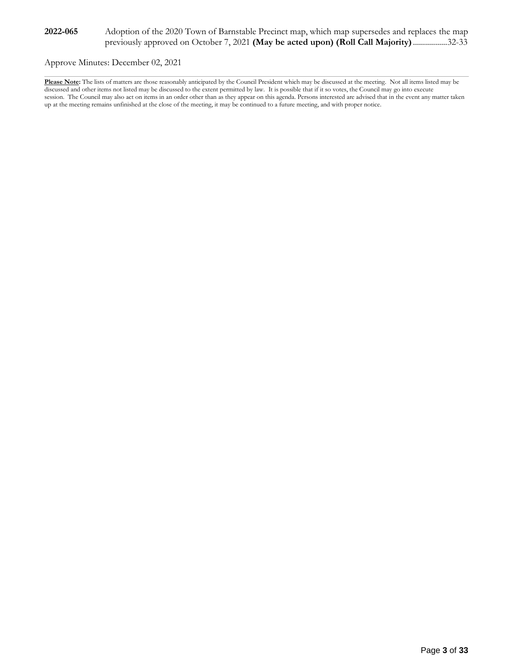Approve Minutes: December 02, 2021

**Please Note:** The lists of matters are those reasonably anticipated by the Council President which may be discussed at the meeting. Not all items listed may be discussed and other items not listed may be discussed to the extent permitted by law. It is possible that if it so votes, the Council may go into execute session. The Council may also act on items in an order other than as they appear on this agenda. Persons interested are advised that in the event any matter taken up at the meeting remains unfinished at the close of the meeting, it may be continued to a future meeting, and with proper notice.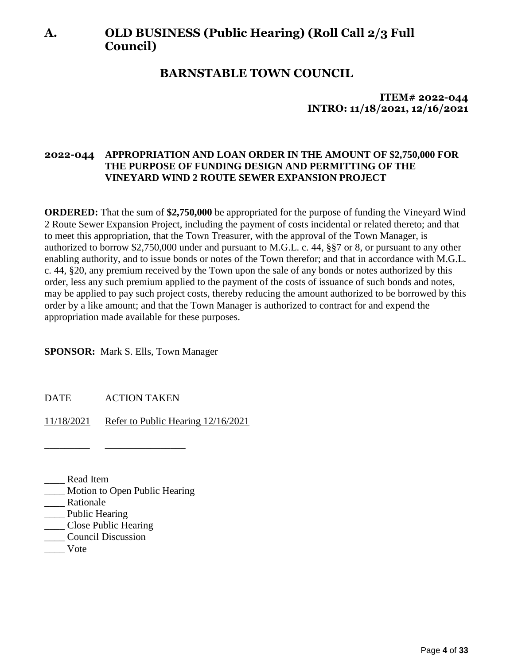# **A. OLD BUSINESS (Public Hearing) (Roll Call 2/3 Full Council)**

## **BARNSTABLE TOWN COUNCIL**

## **ITEM# 2022-044 INTRO: 11/18/2021, 12/16/2021**

### **2022-044 APPROPRIATION AND LOAN ORDER IN THE AMOUNT OF \$2,750,000 FOR THE PURPOSE OF FUNDING DESIGN AND PERMITTING OF THE VINEYARD WIND 2 ROUTE SEWER EXPANSION PROJECT**

**ORDERED:** That the sum of **\$2,750,000** be appropriated for the purpose of funding the Vineyard Wind 2 Route Sewer Expansion Project, including the payment of costs incidental or related thereto; and that to meet this appropriation, that the Town Treasurer, with the approval of the Town Manager, is authorized to borrow \$2,750,000 under and pursuant to M.G.L. c. 44, §§7 or 8, or pursuant to any other enabling authority, and to issue bonds or notes of the Town therefor; and that in accordance with M.G.L. c. 44, §20, any premium received by the Town upon the sale of any bonds or notes authorized by this order, less any such premium applied to the payment of the costs of issuance of such bonds and notes, may be applied to pay such project costs, thereby reducing the amount authorized to be borrowed by this order by a like amount; and that the Town Manager is authorized to contract for and expend the appropriation made available for these purposes.

**SPONSOR:** Mark S. Ells, Town Manager

DATE ACTION TAKEN

\_\_\_\_\_\_\_\_\_ \_\_\_\_\_\_\_\_\_\_\_\_\_\_\_\_

11/18/2021 Refer to Public Hearing 12/16/2021

\_\_\_\_ Read Item

- \_\_\_\_ Motion to Open Public Hearing
- Rationale
- \_\_\_\_\_ Public Hearing
- \_\_\_\_ Close Public Hearing
- \_\_\_\_ Council Discussion
- \_\_\_\_ Vote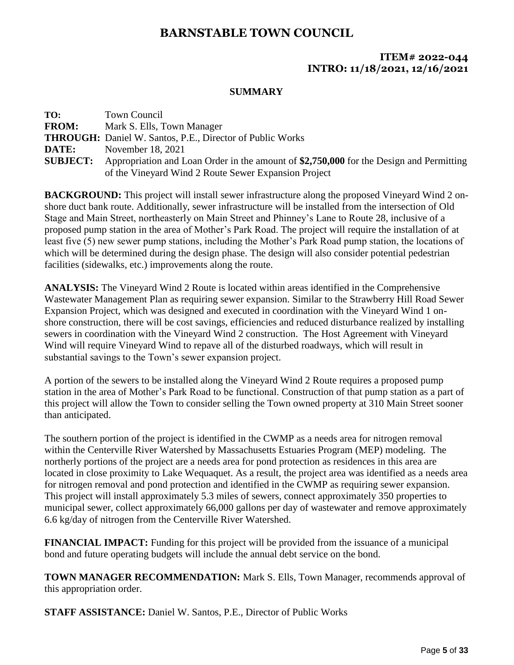### **ITEM# 2022-044 INTRO: 11/18/2021, 12/16/2021**

#### **SUMMARY**

| TO:             | Town Council                                                                            |
|-----------------|-----------------------------------------------------------------------------------------|
| <b>FROM:</b>    | Mark S. Ells, Town Manager                                                              |
|                 | <b>THROUGH:</b> Daniel W. Santos, P.E., Director of Public Works                        |
| DATE:           | November 18, 2021                                                                       |
| <b>SUBJECT:</b> | Appropriation and Loan Order in the amount of \$2,750,000 for the Design and Permitting |
|                 | of the Vineyard Wind 2 Route Sewer Expansion Project                                    |

**BACKGROUND:** This project will install sewer infrastructure along the proposed Vineyard Wind 2 onshore duct bank route. Additionally, sewer infrastructure will be installed from the intersection of Old Stage and Main Street, northeasterly on Main Street and Phinney's Lane to Route 28, inclusive of a proposed pump station in the area of Mother's Park Road. The project will require the installation of at least five (5) new sewer pump stations, including the Mother's Park Road pump station, the locations of which will be determined during the design phase. The design will also consider potential pedestrian facilities (sidewalks, etc.) improvements along the route.

**ANALYSIS:** The Vineyard Wind 2 Route is located within areas identified in the Comprehensive Wastewater Management Plan as requiring sewer expansion. Similar to the Strawberry Hill Road Sewer Expansion Project, which was designed and executed in coordination with the Vineyard Wind 1 onshore construction, there will be cost savings, efficiencies and reduced disturbance realized by installing sewers in coordination with the Vineyard Wind 2 construction. The Host Agreement with Vineyard Wind will require Vineyard Wind to repave all of the disturbed roadways, which will result in substantial savings to the Town's sewer expansion project.

A portion of the sewers to be installed along the Vineyard Wind 2 Route requires a proposed pump station in the area of Mother's Park Road to be functional. Construction of that pump station as a part of this project will allow the Town to consider selling the Town owned property at 310 Main Street sooner than anticipated.

The southern portion of the project is identified in the CWMP as a needs area for nitrogen removal within the Centerville River Watershed by Massachusetts Estuaries Program (MEP) modeling. The northerly portions of the project are a needs area for pond protection as residences in this area are located in close proximity to Lake Wequaquet. As a result, the project area was identified as a needs area for nitrogen removal and pond protection and identified in the CWMP as requiring sewer expansion. This project will install approximately 5.3 miles of sewers, connect approximately 350 properties to municipal sewer, collect approximately 66,000 gallons per day of wastewater and remove approximately 6.6 kg/day of nitrogen from the Centerville River Watershed.

**FINANCIAL IMPACT:** Funding for this project will be provided from the issuance of a municipal bond and future operating budgets will include the annual debt service on the bond.

**TOWN MANAGER RECOMMENDATION:** Mark S. Ells, Town Manager, recommends approval of this appropriation order.

**STAFF ASSISTANCE:** Daniel W. Santos, P.E., Director of Public Works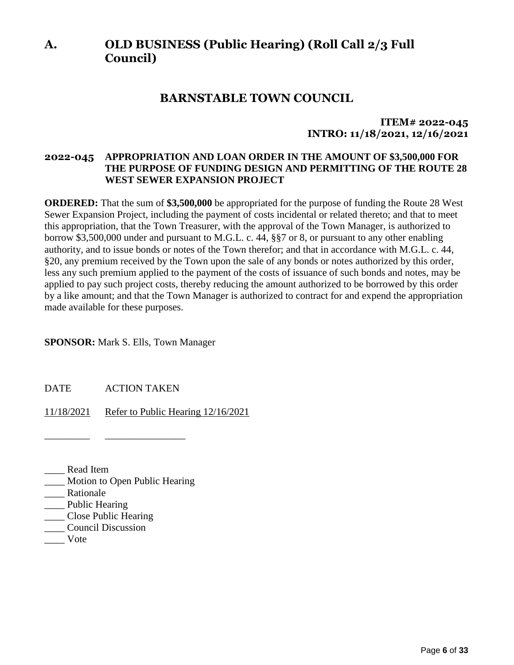# **A. OLD BUSINESS (Public Hearing) (Roll Call 2/3 Full Council)**

## **BARNSTABLE TOWN COUNCIL**

## **ITEM# 2022-045 INTRO: 11/18/2021, 12/16/2021**

### **2022-045 APPROPRIATION AND LOAN ORDER IN THE AMOUNT OF \$3,500,000 FOR THE PURPOSE OF FUNDING DESIGN AND PERMITTING OF THE ROUTE 28 WEST SEWER EXPANSION PROJECT**

**ORDERED:** That the sum of **\$3,500,000** be appropriated for the purpose of funding the Route 28 West Sewer Expansion Project, including the payment of costs incidental or related thereto; and that to meet this appropriation, that the Town Treasurer, with the approval of the Town Manager, is authorized to borrow \$3,500,000 under and pursuant to M.G.L. c. 44, §§7 or 8, or pursuant to any other enabling authority, and to issue bonds or notes of the Town therefor; and that in accordance with M.G.L. c. 44, §20, any premium received by the Town upon the sale of any bonds or notes authorized by this order, less any such premium applied to the payment of the costs of issuance of such bonds and notes, may be applied to pay such project costs, thereby reducing the amount authorized to be borrowed by this order by a like amount; and that the Town Manager is authorized to contract for and expend the appropriation made available for these purposes.

#### **SPONSOR:** Mark S. Ells, Town Manager

DATE ACTION TAKEN

\_\_\_\_\_\_\_\_\_ \_\_\_\_\_\_\_\_\_\_\_\_\_\_\_\_

11/18/2021 Refer to Public Hearing 12/16/2021

\_\_\_\_ Read Item

- \_\_\_\_ Motion to Open Public Hearing
- Rationale
- \_\_\_\_ Public Hearing
- \_\_\_\_ Close Public Hearing
- \_\_\_\_ Council Discussion
- \_\_\_\_ Vote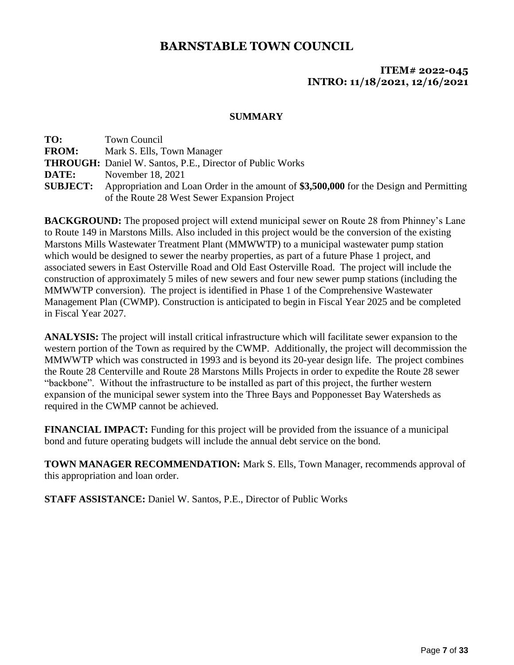## **ITEM# 2022-045 INTRO: 11/18/2021, 12/16/2021**

#### **SUMMARY**

| TO:             | Town Council                                                                            |
|-----------------|-----------------------------------------------------------------------------------------|
| <b>FROM:</b>    | Mark S. Ells, Town Manager                                                              |
|                 | <b>THROUGH:</b> Daniel W. Santos, P.E., Director of Public Works                        |
| DATE:           | November 18, 2021                                                                       |
| <b>SUBJECT:</b> | Appropriation and Loan Order in the amount of \$3,500,000 for the Design and Permitting |
|                 | of the Route 28 West Sewer Expansion Project                                            |

**BACKGROUND:** The proposed project will extend municipal sewer on Route 28 from Phinney's Lane to Route 149 in Marstons Mills. Also included in this project would be the conversion of the existing Marstons Mills Wastewater Treatment Plant (MMWWTP) to a municipal wastewater pump station which would be designed to sewer the nearby properties, as part of a future Phase 1 project, and associated sewers in East Osterville Road and Old East Osterville Road. The project will include the construction of approximately 5 miles of new sewers and four new sewer pump stations (including the MMWWTP conversion). The project is identified in Phase 1 of the Comprehensive Wastewater Management Plan (CWMP). Construction is anticipated to begin in Fiscal Year 2025 and be completed in Fiscal Year 2027.

**ANALYSIS:** The project will install critical infrastructure which will facilitate sewer expansion to the western portion of the Town as required by the CWMP. Additionally, the project will decommission the MMWWTP which was constructed in 1993 and is beyond its 20-year design life. The project combines the Route 28 Centerville and Route 28 Marstons Mills Projects in order to expedite the Route 28 sewer "backbone". Without the infrastructure to be installed as part of this project, the further western expansion of the municipal sewer system into the Three Bays and Popponesset Bay Watersheds as required in the CWMP cannot be achieved.

**FINANCIAL IMPACT:** Funding for this project will be provided from the issuance of a municipal bond and future operating budgets will include the annual debt service on the bond.

**TOWN MANAGER RECOMMENDATION:** Mark S. Ells, Town Manager, recommends approval of this appropriation and loan order.

**STAFF ASSISTANCE:** Daniel W. Santos, P.E., Director of Public Works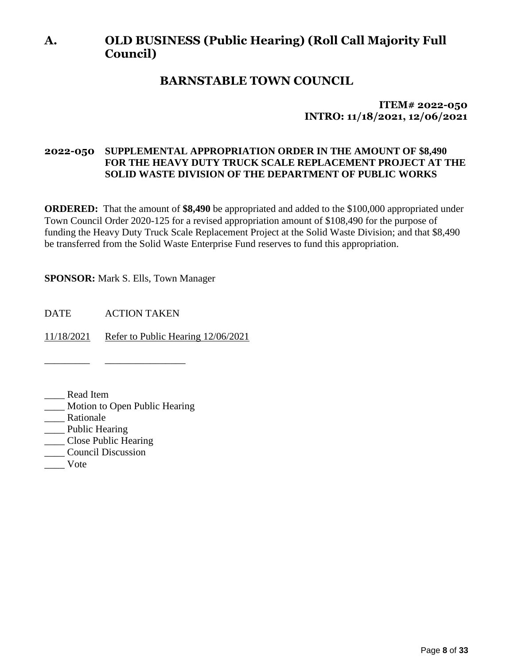# **A. OLD BUSINESS (Public Hearing) (Roll Call Majority Full Council)**

## **BARNSTABLE TOWN COUNCIL**

**ITEM# 2022-050 INTRO: 11/18/2021, 12/06/2021**

### **2022-050 SUPPLEMENTAL APPROPRIATION ORDER IN THE AMOUNT OF \$8,490 FOR THE HEAVY DUTY TRUCK SCALE REPLACEMENT PROJECT AT THE SOLID WASTE DIVISION OF THE DEPARTMENT OF PUBLIC WORKS**

**ORDERED:** That the amount of **\$8,490** be appropriated and added to the \$100,000 appropriated under Town Council Order 2020-125 for a revised appropriation amount of \$108,490 for the purpose of funding the Heavy Duty Truck Scale Replacement Project at the Solid Waste Division; and that \$8,490 be transferred from the Solid Waste Enterprise Fund reserves to fund this appropriation.

**SPONSOR:** Mark S. Ells, Town Manager

DATE ACTION TAKEN

\_\_\_\_\_\_\_\_\_ \_\_\_\_\_\_\_\_\_\_\_\_\_\_\_\_

11/18/2021 Refer to Public Hearing 12/06/2021

\_\_\_\_ Read Item

- \_\_\_\_ Motion to Open Public Hearing
- \_\_\_\_ Rationale
- \_\_\_\_ Public Hearing
- \_\_\_\_ Close Public Hearing
- \_\_\_\_ Council Discussion
- \_\_\_\_ Vote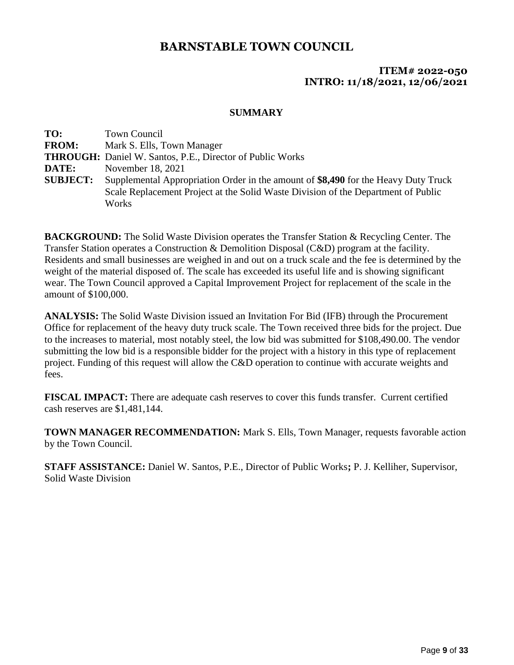### **ITEM# 2022-050 INTRO: 11/18/2021, 12/06/2021**

### **SUMMARY**

| TO:             | <b>Town Council</b>                                                                |
|-----------------|------------------------------------------------------------------------------------|
| <b>FROM:</b>    | Mark S. Ells, Town Manager                                                         |
|                 | <b>THROUGH:</b> Daniel W. Santos, P.E., Director of Public Works                   |
| DATE:           | November 18, 2021                                                                  |
| <b>SUBJECT:</b> | Supplemental Appropriation Order in the amount of \$8,490 for the Heavy Duty Truck |
|                 | Scale Replacement Project at the Solid Waste Division of the Department of Public  |
|                 | Works                                                                              |

**BACKGROUND:** The Solid Waste Division operates the Transfer Station & Recycling Center. The Transfer Station operates a Construction & Demolition Disposal (C&D) program at the facility. Residents and small businesses are weighed in and out on a truck scale and the fee is determined by the weight of the material disposed of. The scale has exceeded its useful life and is showing significant wear. The Town Council approved a Capital Improvement Project for replacement of the scale in the amount of \$100,000.

**ANALYSIS:** The Solid Waste Division issued an Invitation For Bid (IFB) through the Procurement Office for replacement of the heavy duty truck scale. The Town received three bids for the project. Due to the increases to material, most notably steel, the low bid was submitted for \$108,490.00. The vendor submitting the low bid is a responsible bidder for the project with a history in this type of replacement project. Funding of this request will allow the C&D operation to continue with accurate weights and fees.

**FISCAL IMPACT:** There are adequate cash reserves to cover this funds transfer. Current certified cash reserves are \$1,481,144.

**TOWN MANAGER RECOMMENDATION:** Mark S. Ells, Town Manager, requests favorable action by the Town Council.

**STAFF ASSISTANCE:** Daniel W. Santos, P.E., Director of Public Works**;** P. J. Kelliher, Supervisor, Solid Waste Division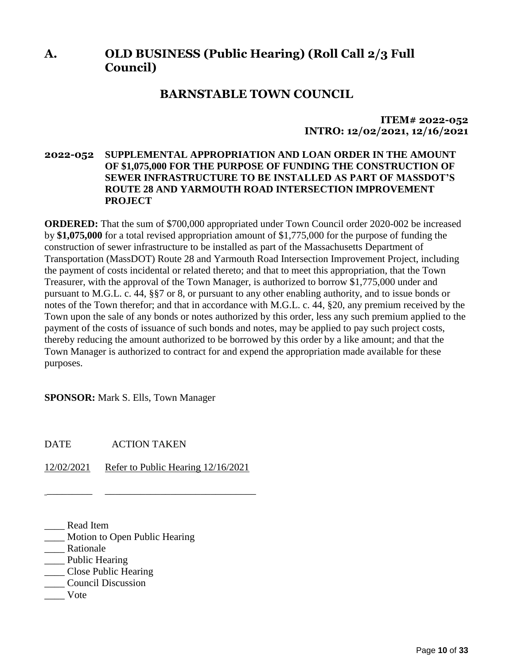# **A. OLD BUSINESS (Public Hearing) (Roll Call 2/3 Full Council)**

## **BARNSTABLE TOWN COUNCIL**

### **ITEM# 2022-052 INTRO: 12/02/2021, 12/16/2021**

### **2022-052 SUPPLEMENTAL APPROPRIATION AND LOAN ORDER IN THE AMOUNT OF \$1,075,000 FOR THE PURPOSE OF FUNDING THE CONSTRUCTION OF SEWER INFRASTRUCTURE TO BE INSTALLED AS PART OF MASSDOT'S ROUTE 28 AND YARMOUTH ROAD INTERSECTION IMPROVEMENT PROJECT**

**ORDERED:** That the sum of \$700,000 appropriated under Town Council order 2020-002 be increased by **\$1,075,000** for a total revised appropriation amount of \$1,775,000 for the purpose of funding the construction of sewer infrastructure to be installed as part of the Massachusetts Department of Transportation (MassDOT) Route 28 and Yarmouth Road Intersection Improvement Project, including the payment of costs incidental or related thereto; and that to meet this appropriation, that the Town Treasurer, with the approval of the Town Manager, is authorized to borrow \$1,775,000 under and pursuant to M.G.L. c. 44, §§7 or 8, or pursuant to any other enabling authority, and to issue bonds or notes of the Town therefor; and that in accordance with M.G.L. c. 44, §20, any premium received by the Town upon the sale of any bonds or notes authorized by this order, less any such premium applied to the payment of the costs of issuance of such bonds and notes, may be applied to pay such project costs, thereby reducing the amount authorized to be borrowed by this order by a like amount; and that the Town Manager is authorized to contract for and expend the appropriation made available for these purposes.

**SPONSOR:** Mark S. Ells, Town Manager

DATE ACTION TAKEN

12/02/2021 Refer to Public Hearing 12/16/2021

\_\_\_\_\_\_\_\_\_ \_\_\_\_\_\_\_\_\_\_\_\_\_\_\_\_\_\_\_\_\_\_\_\_\_\_\_\_\_\_

- \_\_\_\_ Read Item
- \_\_\_\_ Motion to Open Public Hearing
- \_\_\_\_ Rationale
- \_\_\_\_ Public Hearing
- \_\_\_\_ Close Public Hearing
- \_\_\_\_ Council Discussion
- \_\_\_\_ Vote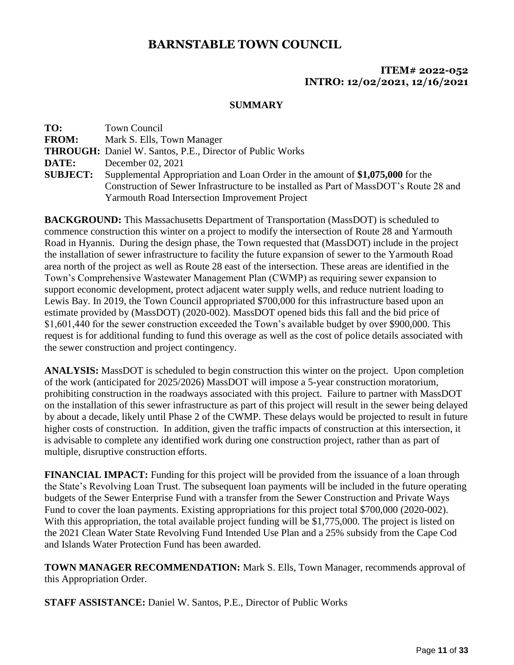## **ITEM# 2022-052 INTRO: 12/02/2021, 12/16/2021**

### **SUMMARY**

| <b>Town Council</b>                                                                    |
|----------------------------------------------------------------------------------------|
| Mark S. Ells, Town Manager                                                             |
| <b>THROUGH:</b> Daniel W. Santos, P.E., Director of Public Works                       |
| December 02, 2021                                                                      |
| Supplemental Appropriation and Loan Order in the amount of \$1,075,000 for the         |
| Construction of Sewer Infrastructure to be installed as Part of MassDOT's Route 28 and |
| <b>Yarmouth Road Intersection Improvement Project</b>                                  |
|                                                                                        |

**BACKGROUND:** This Massachusetts Department of Transportation (MassDOT) is scheduled to commence construction this winter on a project to modify the intersection of Route 28 and Yarmouth Road in Hyannis. During the design phase, the Town requested that (MassDOT) include in the project the installation of sewer infrastructure to facility the future expansion of sewer to the Yarmouth Road area north of the project as well as Route 28 east of the intersection. These areas are identified in the Town's Comprehensive Wastewater Management Plan (CWMP) as requiring sewer expansion to support economic development, protect adjacent water supply wells, and reduce nutrient loading to Lewis Bay. In 2019, the Town Council appropriated \$700,000 for this infrastructure based upon an estimate provided by (MassDOT) (2020-002). MassDOT opened bids this fall and the bid price of \$1,601,440 for the sewer construction exceeded the Town's available budget by over \$900,000. This request is for additional funding to fund this overage as well as the cost of police details associated with the sewer construction and project contingency.

**ANALYSIS:** MassDOT is scheduled to begin construction this winter on the project. Upon completion of the work (anticipated for 2025/2026) MassDOT will impose a 5-year construction moratorium, prohibiting construction in the roadways associated with this project. Failure to partner with MassDOT on the installation of this sewer infrastructure as part of this project will result in the sewer being delayed by about a decade, likely until Phase 2 of the CWMP. These delays would be projected to result in future higher costs of construction. In addition, given the traffic impacts of construction at this intersection, it is advisable to complete any identified work during one construction project, rather than as part of multiple, disruptive construction efforts.

**FINANCIAL IMPACT:** Funding for this project will be provided from the issuance of a loan through the State's Revolving Loan Trust. The subsequent loan payments will be included in the future operating budgets of the Sewer Enterprise Fund with a transfer from the Sewer Construction and Private Ways Fund to cover the loan payments. Existing appropriations for this project total \$700,000 (2020-002). With this appropriation, the total available project funding will be \$1,775,000. The project is listed on the 2021 Clean Water State Revolving Fund Intended Use Plan and a 25% subsidy from the Cape Cod and Islands Water Protection Fund has been awarded.

**TOWN MANAGER RECOMMENDATION:** Mark S. Ells, Town Manager, recommends approval of this Appropriation Order.

**STAFF ASSISTANCE:** Daniel W. Santos, P.E., Director of Public Works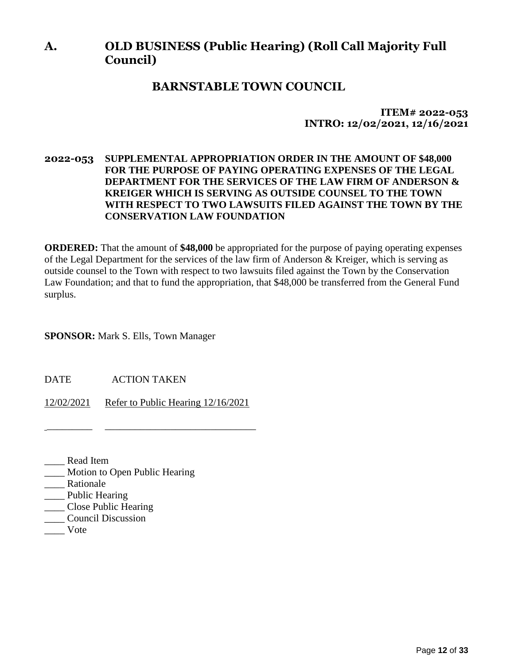# **A. OLD BUSINESS (Public Hearing) (Roll Call Majority Full Council)**

## **BARNSTABLE TOWN COUNCIL**

**ITEM# 2022-053 INTRO: 12/02/2021, 12/16/2021**

### **2022-053 SUPPLEMENTAL APPROPRIATION ORDER IN THE AMOUNT OF \$48,000 FOR THE PURPOSE OF PAYING OPERATING EXPENSES OF THE LEGAL DEPARTMENT FOR THE SERVICES OF THE LAW FIRM OF ANDERSON & KREIGER WHICH IS SERVING AS OUTSIDE COUNSEL TO THE TOWN WITH RESPECT TO TWO LAWSUITS FILED AGAINST THE TOWN BY THE CONSERVATION LAW FOUNDATION**

**ORDERED:** That the amount of **\$48,000** be appropriated for the purpose of paying operating expenses of the Legal Department for the services of the law firm of Anderson & Kreiger, which is serving as outside counsel to the Town with respect to two lawsuits filed against the Town by the Conservation Law Foundation; and that to fund the appropriation, that \$48,000 be transferred from the General Fund surplus.

**SPONSOR:** Mark S. Ells, Town Manager

DATE ACTION TAKEN

12/02/2021 Refer to Public Hearing 12/16/2021

\_\_\_\_\_\_\_\_\_ \_\_\_\_\_\_\_\_\_\_\_\_\_\_\_\_\_\_\_\_\_\_\_\_\_\_\_\_\_\_

- \_\_\_\_ Read Item
- \_\_\_\_ Motion to Open Public Hearing
- Rationale
- \_\_\_\_ Public Hearing
- \_\_\_\_ Close Public Hearing
- \_\_\_\_ Council Discussion
- \_\_\_\_ Vote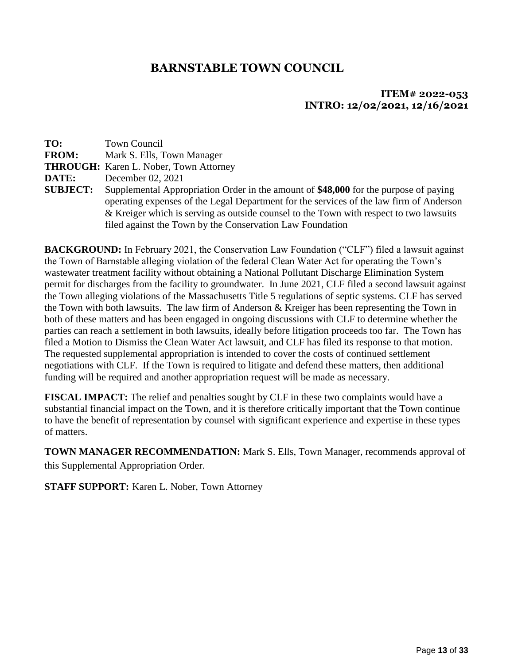## **ITEM# 2022-053 INTRO: 12/02/2021, 12/16/2021**

| TO:             | Town Council                                                                                                                                                                                                                                                                                                                           |
|-----------------|----------------------------------------------------------------------------------------------------------------------------------------------------------------------------------------------------------------------------------------------------------------------------------------------------------------------------------------|
| <b>FROM:</b>    | Mark S. Ells, Town Manager                                                                                                                                                                                                                                                                                                             |
|                 | <b>THROUGH:</b> Karen L. Nober, Town Attorney                                                                                                                                                                                                                                                                                          |
| DATE:           | December 02, 2021                                                                                                                                                                                                                                                                                                                      |
| <b>SUBJECT:</b> | Supplemental Appropriation Order in the amount of \$48,000 for the purpose of paying<br>operating expenses of the Legal Department for the services of the law firm of Anderson<br>& Kreiger which is serving as outside counsel to the Town with respect to two lawsuits<br>filed against the Town by the Conservation Law Foundation |

**BACKGROUND:** In February 2021, the Conservation Law Foundation ("CLF") filed a lawsuit against the Town of Barnstable alleging violation of the federal Clean Water Act for operating the Town's wastewater treatment facility without obtaining a National Pollutant Discharge Elimination System permit for discharges from the facility to groundwater. In June 2021, CLF filed a second lawsuit against the Town alleging violations of the Massachusetts Title 5 regulations of septic systems. CLF has served the Town with both lawsuits. The law firm of Anderson & Kreiger has been representing the Town in both of these matters and has been engaged in ongoing discussions with CLF to determine whether the parties can reach a settlement in both lawsuits, ideally before litigation proceeds too far. The Town has filed a Motion to Dismiss the Clean Water Act lawsuit, and CLF has filed its response to that motion. The requested supplemental appropriation is intended to cover the costs of continued settlement negotiations with CLF. If the Town is required to litigate and defend these matters, then additional funding will be required and another appropriation request will be made as necessary.

**FISCAL IMPACT:** The relief and penalties sought by CLF in these two complaints would have a substantial financial impact on the Town, and it is therefore critically important that the Town continue to have the benefit of representation by counsel with significant experience and expertise in these types of matters.

**TOWN MANAGER RECOMMENDATION:** Mark S. Ells, Town Manager, recommends approval of this Supplemental Appropriation Order.

**STAFF SUPPORT:** Karen L. Nober, Town Attorney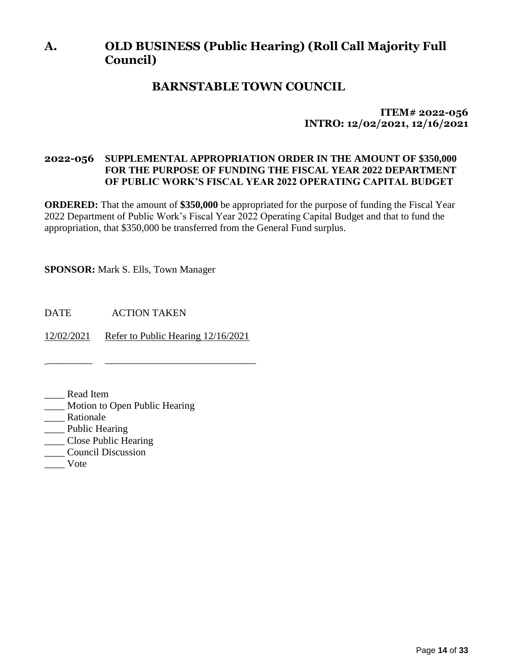# **A. OLD BUSINESS (Public Hearing) (Roll Call Majority Full Council)**

# **BARNSTABLE TOWN COUNCIL**

## **ITEM# 2022-056 INTRO: 12/02/2021, 12/16/2021**

### **2022-056 SUPPLEMENTAL APPROPRIATION ORDER IN THE AMOUNT OF \$350,000 FOR THE PURPOSE OF FUNDING THE FISCAL YEAR 2022 DEPARTMENT OF PUBLIC WORK'S FISCAL YEAR 2022 OPERATING CAPITAL BUDGET**

**ORDERED:** That the amount of **\$350,000** be appropriated for the purpose of funding the Fiscal Year 2022 Department of Public Work's Fiscal Year 2022 Operating Capital Budget and that to fund the appropriation, that \$350,000 be transferred from the General Fund surplus.

**SPONSOR:** Mark S. Ells, Town Manager

DATE ACTION TAKEN

12/02/2021 Refer to Public Hearing 12/16/2021

\_\_\_\_\_\_\_\_\_ \_\_\_\_\_\_\_\_\_\_\_\_\_\_\_\_\_\_\_\_\_\_\_\_\_\_\_\_\_\_

- \_\_\_\_ Read Item
- \_\_\_\_ Motion to Open Public Hearing
- \_\_\_\_ Rationale
- \_\_\_\_ Public Hearing
- \_\_\_\_ Close Public Hearing
- \_\_\_\_ Council Discussion
- \_\_\_\_ Vote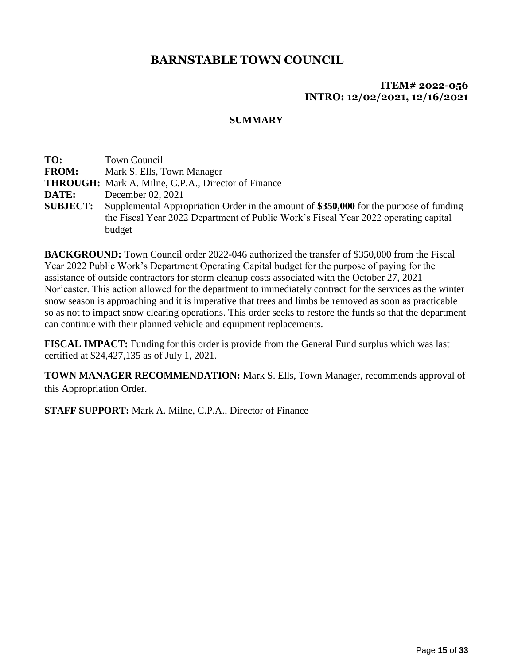### **ITEM# 2022-056 INTRO: 12/02/2021, 12/16/2021**

### **SUMMARY**

**TO:** Town Council **FROM:** Mark S. Ells, Town Manager **THROUGH:** Mark A. Milne, C.P.A., Director of Finance **DATE:** December 02, 2021 **SUBJECT:** Supplemental Appropriation Order in the amount of **\$350,000** for the purpose of funding the Fiscal Year 2022 Department of Public Work's Fiscal Year 2022 operating capital budget

**BACKGROUND:** Town Council order 2022-046 authorized the transfer of \$350,000 from the Fiscal Year 2022 Public Work's Department Operating Capital budget for the purpose of paying for the assistance of outside contractors for storm cleanup costs associated with the October 27, 2021 Nor'easter. This action allowed for the department to immediately contract for the services as the winter snow season is approaching and it is imperative that trees and limbs be removed as soon as practicable so as not to impact snow clearing operations. This order seeks to restore the funds so that the department can continue with their planned vehicle and equipment replacements.

**FISCAL IMPACT:** Funding for this order is provide from the General Fund surplus which was last certified at \$24,427,135 as of July 1, 2021.

**TOWN MANAGER RECOMMENDATION:** Mark S. Ells, Town Manager, recommends approval of this Appropriation Order.

**STAFF SUPPORT:** Mark A. Milne, C.P.A., Director of Finance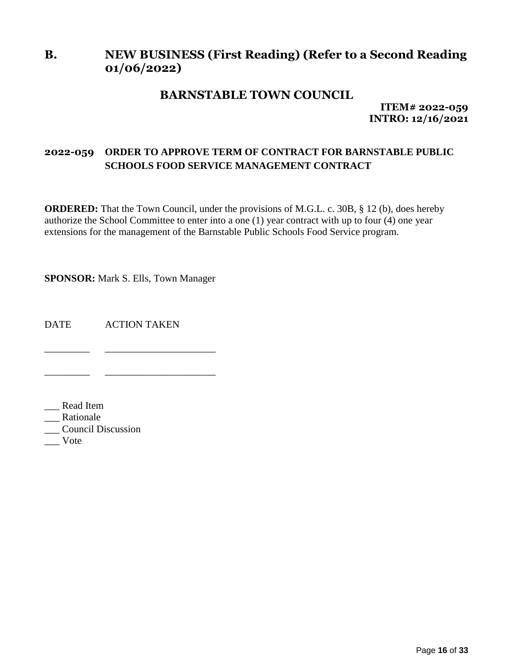# **B. NEW BUSINESS (First Reading) (Refer to a Second Reading 01/06/2022)**

## **BARNSTABLE TOWN COUNCIL**

**ITEM# 2022-059 INTRO: 12/16/2021**

## **2022-059 ORDER TO APPROVE TERM OF CONTRACT FOR BARNSTABLE PUBLIC SCHOOLS FOOD SERVICE MANAGEMENT CONTRACT**

**ORDERED:** That the Town Council, under the provisions of M.G.L. c. 30B, § 12 (b), does hereby authorize the School Committee to enter into a one (1) year contract with up to four (4) one year extensions for the management of the Barnstable Public Schools Food Service program.

**SPONSOR:** Mark S. Ells, Town Manager

\_\_\_\_\_\_\_\_\_ \_\_\_\_\_\_\_\_\_\_\_\_\_\_\_\_\_\_\_\_\_\_

\_\_\_\_\_\_\_\_\_ \_\_\_\_\_\_\_\_\_\_\_\_\_\_\_\_\_\_\_\_\_\_

DATE ACTION TAKEN

\_\_\_ Read Item

\_\_\_ Rationale

\_\_\_ Council Discussion

\_\_\_ Vote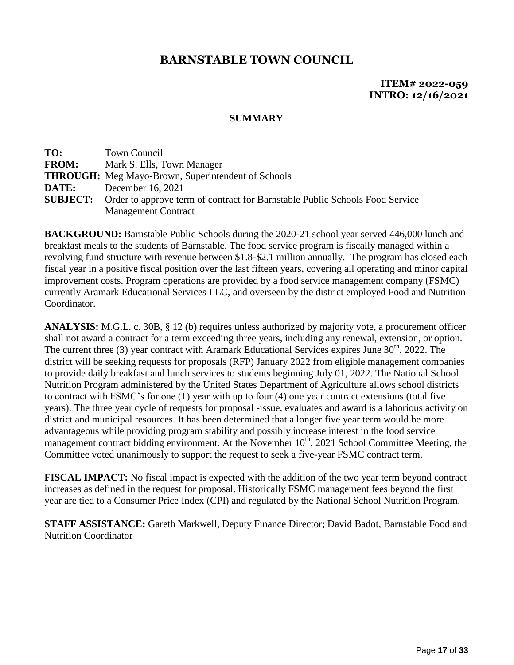**ITEM# 2022-059 INTRO: 12/16/2021**

#### **SUMMARY**

| TO:             | Town Council                                                                 |
|-----------------|------------------------------------------------------------------------------|
| <b>FROM:</b>    | Mark S. Ells, Town Manager                                                   |
|                 | <b>THROUGH:</b> Meg Mayo-Brown, Superintendent of Schools                    |
| DATE:           | December 16, 2021                                                            |
| <b>SUBJECT:</b> | Order to approve term of contract for Barnstable Public Schools Food Service |
|                 | <b>Management Contract</b>                                                   |

**BACKGROUND:** Barnstable Public Schools during the 2020-21 school year served 446,000 lunch and breakfast meals to the students of Barnstable. The food service program is fiscally managed within a revolving fund structure with revenue between \$1.8-\$2.1 million annually. The program has closed each fiscal year in a positive fiscal position over the last fifteen years, covering all operating and minor capital improvement costs. Program operations are provided by a food service management company (FSMC) currently Aramark Educational Services LLC, and overseen by the district employed Food and Nutrition Coordinator.

**ANALYSIS:** M.G.L. c. 30B, § 12 (b) requires unless authorized by majority vote, a procurement officer shall not award a contract for a term exceeding three years, including any renewal, extension, or option. The current three (3) year contract with Aramark Educational Services expires June  $30<sup>th</sup>$ , 2022. The district will be seeking requests for proposals (RFP) January 2022 from eligible management companies to provide daily breakfast and lunch services to students beginning July 01, 2022. The National School Nutrition Program administered by the United States Department of Agriculture allows school districts to contract with FSMC's for one (1) year with up to four (4) one year contract extensions (total five years). The three year cycle of requests for proposal -issue, evaluates and award is a laborious activity on district and municipal resources. It has been determined that a longer five year term would be more advantageous while providing program stability and possibly increase interest in the food service management contract bidding environment. At the November  $10<sup>th</sup>$ , 2021 School Committee Meeting, the Committee voted unanimously to support the request to seek a five-year FSMC contract term.

**FISCAL IMPACT:** No fiscal impact is expected with the addition of the two year term beyond contract increases as defined in the request for proposal. Historically FSMC management fees beyond the first year are tied to a Consumer Price Index (CPI) and regulated by the National School Nutrition Program.

**STAFF ASSISTANCE:** Gareth Markwell, Deputy Finance Director; David Badot, Barnstable Food and Nutrition Coordinator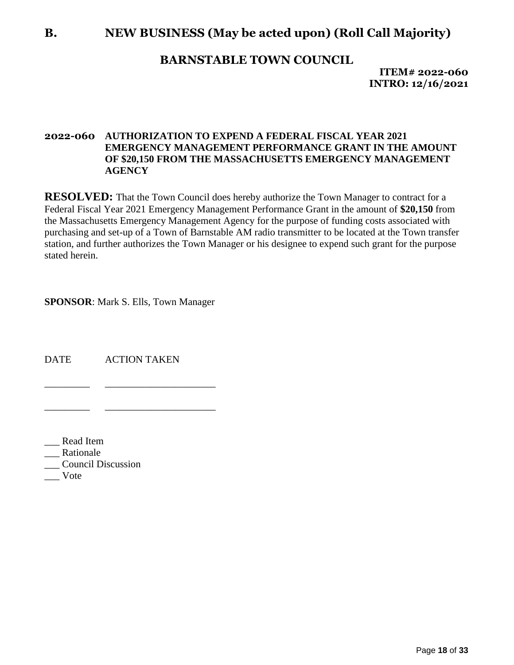# **B. NEW BUSINESS (May be acted upon) (Roll Call Majority)**

## **BARNSTABLE TOWN COUNCIL**

**ITEM# 2022-060 INTRO: 12/16/2021**

### **2022-060 AUTHORIZATION TO EXPEND A FEDERAL FISCAL YEAR 2021 EMERGENCY MANAGEMENT PERFORMANCE GRANT IN THE AMOUNT OF \$20,150 FROM THE MASSACHUSETTS EMERGENCY MANAGEMENT AGENCY**

**RESOLVED:** That the Town Council does hereby authorize the Town Manager to contract for a Federal Fiscal Year 2021 Emergency Management Performance Grant in the amount of **\$20,150** from the Massachusetts Emergency Management Agency for the purpose of funding costs associated with purchasing and set-up of a Town of Barnstable AM radio transmitter to be located at the Town transfer station, and further authorizes the Town Manager or his designee to expend such grant for the purpose stated herein.

**SPONSOR**: Mark S. Ells, Town Manager

\_\_\_\_\_\_\_\_\_ \_\_\_\_\_\_\_\_\_\_\_\_\_\_\_\_\_\_\_\_\_\_

\_\_\_\_\_\_\_\_\_ \_\_\_\_\_\_\_\_\_\_\_\_\_\_\_\_\_\_\_\_\_\_

DATE ACTION TAKEN

\_\_\_ Read Item

Rationale

\_\_\_ Council Discussion

\_\_\_ Vote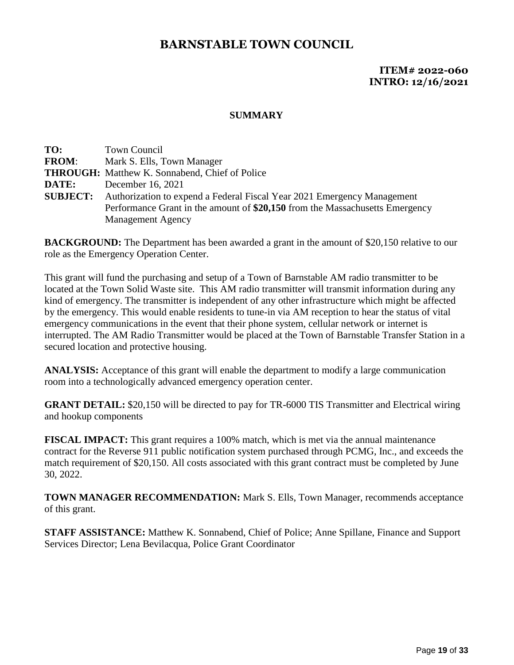## **ITEM# 2022-060 INTRO: 12/16/2021**

#### **SUMMARY**

**TO:** Town Council **FROM**: Mark S. Ells, Town Manager **THROUGH:** Matthew K. Sonnabend, Chief of Police **DATE:** December 16, 2021 **SUBJECT:** Authorization to expend a Federal Fiscal Year 2021 Emergency Management Performance Grant in the amount of **\$20,150** from the Massachusetts Emergency Management Agency

**BACKGROUND:** The Department has been awarded a grant in the amount of \$20,150 relative to our role as the Emergency Operation Center.

This grant will fund the purchasing and setup of a Town of Barnstable AM radio transmitter to be located at the Town Solid Waste site. This AM radio transmitter will transmit information during any kind of emergency. The transmitter is independent of any other infrastructure which might be affected by the emergency. This would enable residents to tune-in via AM reception to hear the status of vital emergency communications in the event that their phone system, cellular network or internet is interrupted. The AM Radio Transmitter would be placed at the Town of Barnstable Transfer Station in a secured location and protective housing.

**ANALYSIS:** Acceptance of this grant will enable the department to modify a large communication room into a technologically advanced emergency operation center.

**GRANT DETAIL:** \$20,150 will be directed to pay for TR-6000 TIS Transmitter and Electrical wiring and hookup components

**FISCAL IMPACT:** This grant requires a 100% match, which is met via the annual maintenance contract for the Reverse 911 public notification system purchased through PCMG, Inc., and exceeds the match requirement of \$20,150. All costs associated with this grant contract must be completed by June 30, 2022.

**TOWN MANAGER RECOMMENDATION:** Mark S. Ells, Town Manager, recommends acceptance of this grant.

**STAFF ASSISTANCE:** Matthew K. Sonnabend, Chief of Police; Anne Spillane, Finance and Support Services Director; Lena Bevilacqua, Police Grant Coordinator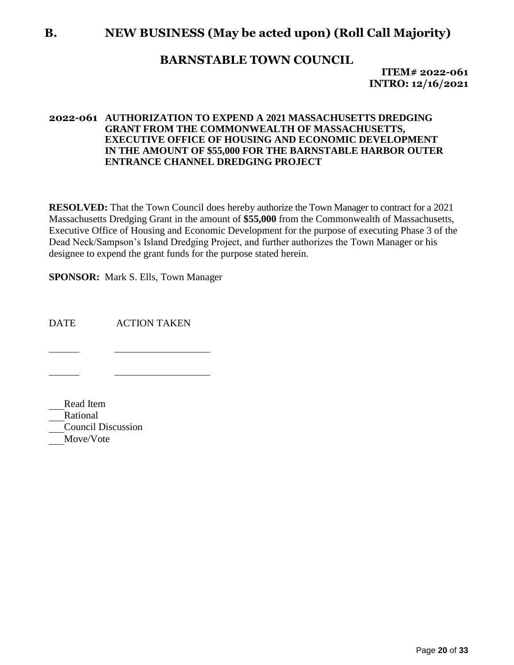# **B. NEW BUSINESS (May be acted upon) (Roll Call Majority)**

## **BARNSTABLE TOWN COUNCIL**

**ITEM# 2022-061 INTRO: 12/16/2021**

#### **2022-061 AUTHORIZATION TO EXPEND A 2021 MASSACHUSETTS DREDGING GRANT FROM THE COMMONWEALTH OF MASSACHUSETTS, EXECUTIVE OFFICE OF HOUSING AND ECONOMIC DEVELOPMENT IN THE AMOUNT OF \$55,000 FOR THE BARNSTABLE HARBOR OUTER ENTRANCE CHANNEL DREDGING PROJECT**

**RESOLVED:** That the Town Council does hereby authorize the Town Manager to contract for a 2021 Massachusetts Dredging Grant in the amount of **\$55,000** from the Commonwealth of Massachusetts, Executive Office of Housing and Economic Development for the purpose of executing Phase 3 of the Dead Neck/Sampson's Island Dredging Project, and further authorizes the Town Manager or his designee to expend the grant funds for the purpose stated herein.

**SPONSOR:** Mark S. Ells, Town Manager

DATE ACTION TAKEN

Read Item Rational Council Discussion Move/Vote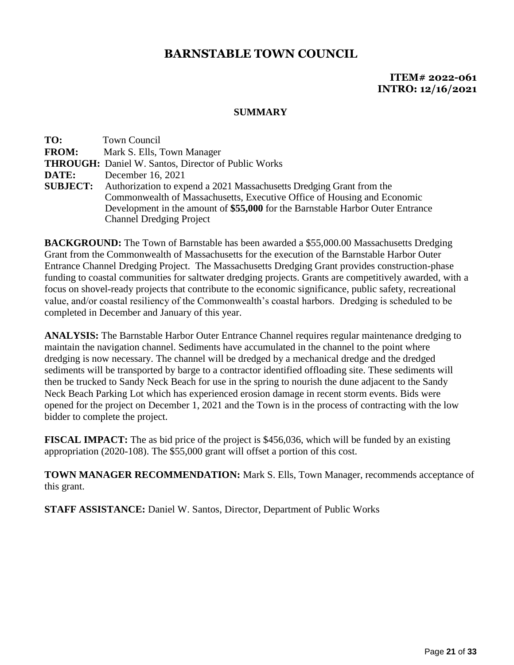**ITEM# 2022-061 INTRO: 12/16/2021**

#### **SUMMARY**

| TO:          | Town Council                                                                         |
|--------------|--------------------------------------------------------------------------------------|
| <b>FROM:</b> | Mark S. Ells, Town Manager                                                           |
|              | <b>THROUGH:</b> Daniel W. Santos, Director of Public Works                           |
| DATE:        | December 16, 2021                                                                    |
|              | <b>SUBJECT:</b> Authorization to expend a 2021 Massachusetts Dredging Grant from the |
|              | Commonwealth of Massachusetts, Executive Office of Housing and Economic              |
|              | Development in the amount of \$55,000 for the Barnstable Harbor Outer Entrance       |
|              | <b>Channel Dredging Project</b>                                                      |

**BACKGROUND:** The Town of Barnstable has been awarded a \$55,000.00 Massachusetts Dredging Grant from the Commonwealth of Massachusetts for the execution of the Barnstable Harbor Outer Entrance Channel Dredging Project. The Massachusetts Dredging Grant provides construction-phase funding to coastal communities for saltwater dredging projects. Grants are competitively awarded, with a focus on shovel-ready projects that contribute to the economic significance, public safety, recreational value, and/or coastal resiliency of the Commonwealth's coastal harbors. Dredging is scheduled to be completed in December and January of this year.

**ANALYSIS:** The Barnstable Harbor Outer Entrance Channel requires regular maintenance dredging to maintain the navigation channel. Sediments have accumulated in the channel to the point where dredging is now necessary. The channel will be dredged by a mechanical dredge and the dredged sediments will be transported by barge to a contractor identified offloading site. These sediments will then be trucked to Sandy Neck Beach for use in the spring to nourish the dune adjacent to the Sandy Neck Beach Parking Lot which has experienced erosion damage in recent storm events. Bids were opened for the project on December 1, 2021 and the Town is in the process of contracting with the low bidder to complete the project.

**FISCAL IMPACT:** The as bid price of the project is \$456,036, which will be funded by an existing appropriation (2020-108). The \$55,000 grant will offset a portion of this cost.

**TOWN MANAGER RECOMMENDATION:** Mark S. Ells, Town Manager, recommends acceptance of this grant.

**STAFF ASSISTANCE:** Daniel W. Santos, Director, Department of Public Works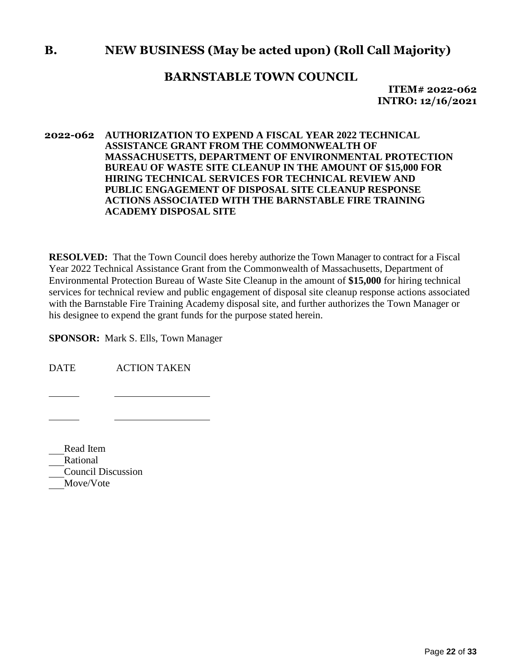# **B. NEW BUSINESS (May be acted upon) (Roll Call Majority)**

## **BARNSTABLE TOWN COUNCIL**

**ITEM# 2022-062 INTRO: 12/16/2021**

#### **2022-062 AUTHORIZATION TO EXPEND A FISCAL YEAR 2022 TECHNICAL ASSISTANCE GRANT FROM THE COMMONWEALTH OF MASSACHUSETTS, DEPARTMENT OF ENVIRONMENTAL PROTECTION BUREAU OF WASTE SITE CLEANUP IN THE AMOUNT OF \$15,000 FOR HIRING TECHNICAL SERVICES FOR TECHNICAL REVIEW AND PUBLIC ENGAGEMENT OF DISPOSAL SITE CLEANUP RESPONSE ACTIONS ASSOCIATED WITH THE BARNSTABLE FIRE TRAINING ACADEMY DISPOSAL SITE**

**RESOLVED:** That the Town Council does hereby authorize the Town Manager to contract for a Fiscal Year 2022 Technical Assistance Grant from the Commonwealth of Massachusetts, Department of Environmental Protection Bureau of Waste Site Cleanup in the amount of **\$15,000** for hiring technical services for technical review and public engagement of disposal site cleanup response actions associated with the Barnstable Fire Training Academy disposal site, and further authorizes the Town Manager or his designee to expend the grant funds for the purpose stated herein.

**SPONSOR:** Mark S. Ells, Town Manager

DATE ACTION TAKEN

Read Item Rational Council Discussion Move/Vote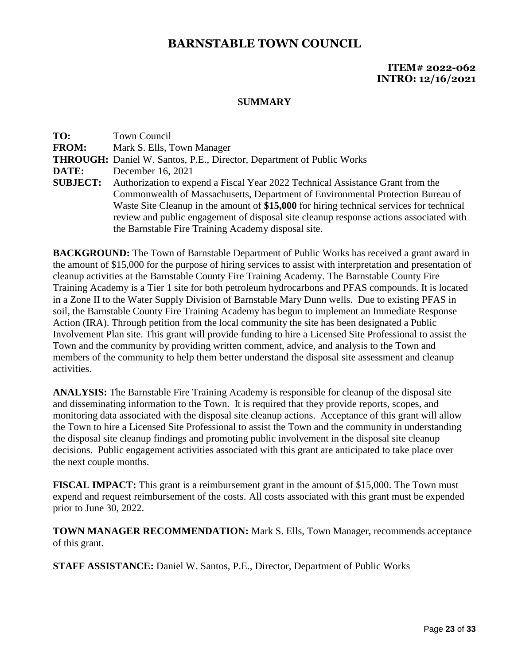### **ITEM# 2022-062 INTRO: 12/16/2021**

#### **SUMMARY**

**TO:** Town Council **FROM:** Mark S. Ells, Town Manager **THROUGH:** Daniel W. Santos, P.E., Director, Department of Public Works **DATE:** December 16, 2021 **SUBJECT:** Authorization to expend a Fiscal Year 2022 Technical Assistance Grant from the Commonwealth of Massachusetts, Department of Environmental Protection Bureau of Waste Site Cleanup in the amount of **\$15,000** for hiring technical services for technical review and public engagement of disposal site cleanup response actions associated with the Barnstable Fire Training Academy disposal site.

**BACKGROUND:** The Town of Barnstable Department of Public Works has received a grant award in the amount of \$15,000 for the purpose of hiring services to assist with interpretation and presentation of cleanup activities at the Barnstable County Fire Training Academy. The Barnstable County Fire Training Academy is a Tier 1 site for both petroleum hydrocarbons and PFAS compounds. It is located in a Zone II to the Water Supply Division of Barnstable Mary Dunn wells. Due to existing PFAS in soil, the Barnstable County Fire Training Academy has begun to implement an Immediate Response Action (IRA). Through petition from the local community the site has been designated a Public Involvement Plan site. This grant will provide funding to hire a Licensed Site Professional to assist the Town and the community by providing written comment, advice, and analysis to the Town and members of the community to help them better understand the disposal site assessment and cleanup activities.

**ANALYSIS:** The Barnstable Fire Training Academy is responsible for cleanup of the disposal site and disseminating information to the Town. It is required that they provide reports, scopes, and monitoring data associated with the disposal site cleanup actions. Acceptance of this grant will allow the Town to hire a Licensed Site Professional to assist the Town and the community in understanding the disposal site cleanup findings and promoting public involvement in the disposal site cleanup decisions. Public engagement activities associated with this grant are anticipated to take place over the next couple months.

**FISCAL IMPACT:** This grant is a reimbursement grant in the amount of \$15,000. The Town must expend and request reimbursement of the costs. All costs associated with this grant must be expended prior to June 30, 2022.

**TOWN MANAGER RECOMMENDATION:** Mark S. Ells, Town Manager, recommends acceptance of this grant.

**STAFF ASSISTANCE:** Daniel W. Santos, P.E., Director, Department of Public Works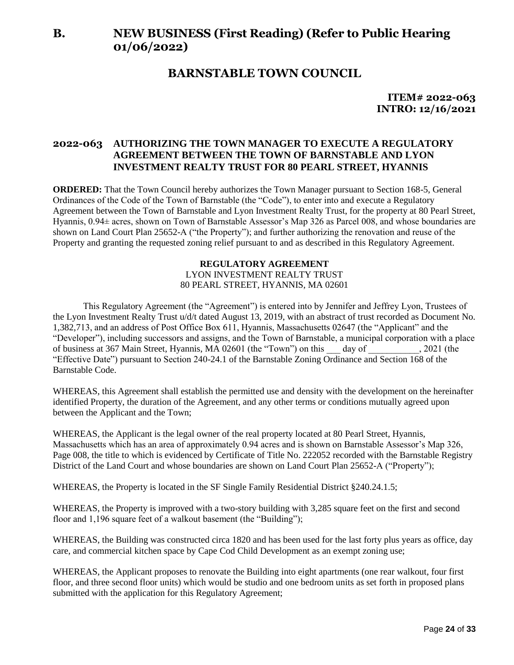# **B. NEW BUSINESS (First Reading) (Refer to Public Hearing 01/06/2022)**

## **BARNSTABLE TOWN COUNCIL**

**ITEM# 2022-063 INTRO: 12/16/2021**

#### **2022-063 AUTHORIZING THE TOWN MANAGER TO EXECUTE A REGULATORY AGREEMENT BETWEEN THE TOWN OF BARNSTABLE AND LYON INVESTMENT REALTY TRUST FOR 80 PEARL STREET, HYANNIS**

**ORDERED:** That the Town Council hereby authorizes the Town Manager pursuant to Section 168-5, General Ordinances of the Code of the Town of Barnstable (the "Code"), to enter into and execute a Regulatory Agreement between the Town of Barnstable and Lyon Investment Realty Trust, for the property at 80 Pearl Street, Hyannis, 0.94± acres, shown on Town of Barnstable Assessor's Map 326 as Parcel 008, and whose boundaries are shown on Land Court Plan 25652-A ("the Property"); and further authorizing the renovation and reuse of the Property and granting the requested zoning relief pursuant to and as described in this Regulatory Agreement.

#### **REGULATORY AGREEMENT** LYON INVESTMENT REALTY TRUST 80 PEARL STREET, HYANNIS, MA 02601

This Regulatory Agreement (the "Agreement") is entered into by Jennifer and Jeffrey Lyon, Trustees of the Lyon Investment Realty Trust u/d/t dated August 13, 2019, with an abstract of trust recorded as Document No. 1,382,713, and an address of Post Office Box 611, Hyannis, Massachusetts 02647 (the "Applicant" and the "Developer"), including successors and assigns, and the Town of Barnstable, a municipal corporation with a place of business at 367 Main Street, Hyannis, MA 02601 (the "Town") on this \_\_\_ day of \_\_\_\_\_\_\_\_\_\_\_, 2021 (the "Effective Date") pursuant to Section 240-24.1 of the Barnstable Zoning Ordinance and Section 168 of the Barnstable Code.

WHEREAS, this Agreement shall establish the permitted use and density with the development on the hereinafter identified Property, the duration of the Agreement, and any other terms or conditions mutually agreed upon between the Applicant and the Town;

WHEREAS, the Applicant is the legal owner of the real property located at 80 Pearl Street, Hyannis, Massachusetts which has an area of approximately 0.94 acres and is shown on Barnstable Assessor's Map 326, Page 008, the title to which is evidenced by Certificate of Title No. 222052 recorded with the Barnstable Registry District of the Land Court and whose boundaries are shown on Land Court Plan 25652-A ("Property");

WHEREAS, the Property is located in the SF Single Family Residential District §240.24.1.5;

WHEREAS, the Property is improved with a two-story building with 3,285 square feet on the first and second floor and 1,196 square feet of a walkout basement (the "Building");

WHEREAS, the Building was constructed circa 1820 and has been used for the last forty plus years as office, day care, and commercial kitchen space by Cape Cod Child Development as an exempt zoning use;

WHEREAS, the Applicant proposes to renovate the Building into eight apartments (one rear walkout, four first floor, and three second floor units) which would be studio and one bedroom units as set forth in proposed plans submitted with the application for this Regulatory Agreement;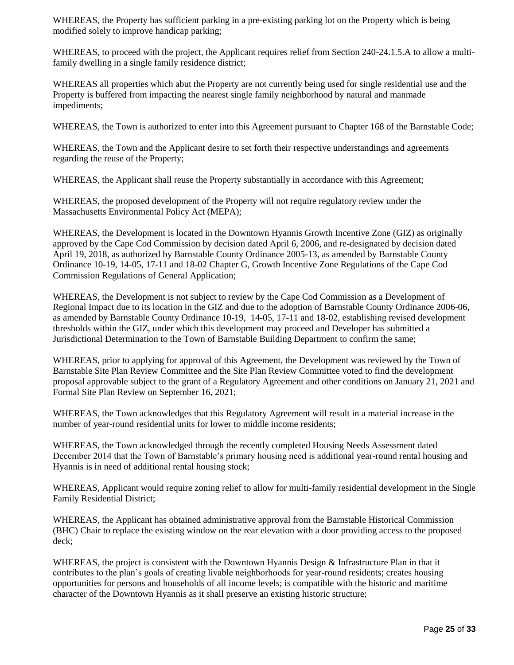WHEREAS, the Property has sufficient parking in a pre-existing parking lot on the Property which is being modified solely to improve handicap parking;

WHEREAS, to proceed with the project, the Applicant requires relief from Section 240-24.1.5.A to allow a multifamily dwelling in a single family residence district;

WHEREAS all properties which abut the Property are not currently being used for single residential use and the Property is buffered from impacting the nearest single family neighborhood by natural and manmade impediments;

WHEREAS, the Town is authorized to enter into this Agreement pursuant to Chapter 168 of the Barnstable Code;

WHEREAS, the Town and the Applicant desire to set forth their respective understandings and agreements regarding the reuse of the Property;

WHEREAS, the Applicant shall reuse the Property substantially in accordance with this Agreement;

WHEREAS, the proposed development of the Property will not require regulatory review under the Massachusetts Environmental Policy Act (MEPA);

WHEREAS, the Development is located in the Downtown Hyannis Growth Incentive Zone (GIZ) as originally approved by the Cape Cod Commission by decision dated April 6, 2006, and re-designated by decision dated April 19, 2018, as authorized by Barnstable County Ordinance 2005-13, as amended by Barnstable County Ordinance 10-19, 14-05, 17-11 and 18-02 Chapter G, Growth Incentive Zone Regulations of the Cape Cod Commission Regulations of General Application;

WHEREAS, the Development is not subject to review by the Cape Cod Commission as a Development of Regional Impact due to its location in the GIZ and due to the adoption of Barnstable County Ordinance 2006-06, as amended by Barnstable County Ordinance 10-19, 14-05, 17-11 and 18-02, establishing revised development thresholds within the GIZ, under which this development may proceed and Developer has submitted a Jurisdictional Determination to the Town of Barnstable Building Department to confirm the same;

WHEREAS, prior to applying for approval of this Agreement, the Development was reviewed by the Town of Barnstable Site Plan Review Committee and the Site Plan Review Committee voted to find the development proposal approvable subject to the grant of a Regulatory Agreement and other conditions on January 21, 2021 and Formal Site Plan Review on September 16, 2021;

WHEREAS, the Town acknowledges that this Regulatory Agreement will result in a material increase in the number of year-round residential units for lower to middle income residents;

WHEREAS, the Town acknowledged through the recently completed Housing Needs Assessment dated December 2014 that the Town of Barnstable's primary housing need is additional year-round rental housing and Hyannis is in need of additional rental housing stock;

WHEREAS, Applicant would require zoning relief to allow for multi-family residential development in the Single Family Residential District;

WHEREAS, the Applicant has obtained administrative approval from the Barnstable Historical Commission (BHC) Chair to replace the existing window on the rear elevation with a door providing access to the proposed deck;

WHEREAS, the project is consistent with the Downtown Hyannis Design & Infrastructure Plan in that it contributes to the plan's goals of creating livable neighborhoods for year-round residents; creates housing opportunities for persons and households of all income levels; is compatible with the historic and maritime character of the Downtown Hyannis as it shall preserve an existing historic structure;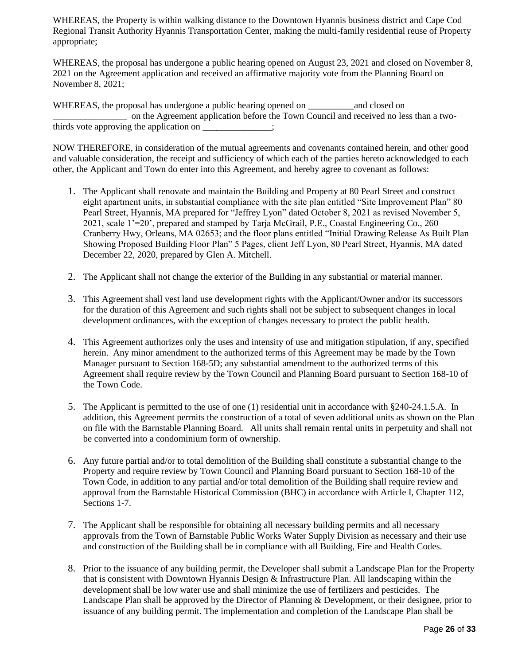WHEREAS, the Property is within walking distance to the Downtown Hyannis business district and Cape Cod Regional Transit Authority Hyannis Transportation Center, making the multi-family residential reuse of Property appropriate;

WHEREAS, the proposal has undergone a public hearing opened on August 23, 2021 and closed on November 8, 2021 on the Agreement application and received an affirmative majority vote from the Planning Board on November 8, 2021;

WHEREAS, the proposal has undergone a public hearing opened on \_\_\_\_\_\_\_\_\_\_\_\_\_\_\_\_\_\_ and closed on \_\_\_\_\_\_\_\_\_\_\_\_\_\_\_\_ on the Agreement application before the Town Council and received no less than a twothirds vote approving the application on  $\cdot$ 

NOW THEREFORE, in consideration of the mutual agreements and covenants contained herein, and other good and valuable consideration, the receipt and sufficiency of which each of the parties hereto acknowledged to each other, the Applicant and Town do enter into this Agreement, and hereby agree to covenant as follows:

- 1. The Applicant shall renovate and maintain the Building and Property at 80 Pearl Street and construct eight apartment units, in substantial compliance with the site plan entitled "Site Improvement Plan" 80 Pearl Street, Hyannis, MA prepared for "Jeffrey Lyon" dated October 8, 2021 as revised November 5, 2021, scale 1'=20', prepared and stamped by Tarja McGrail, P.E., Coastal Engineering Co., 260 Cranberry Hwy, Orleans, MA 02653; and the floor plans entitled "Initial Drawing Release As Built Plan Showing Proposed Building Floor Plan" 5 Pages, client Jeff Lyon, 80 Pearl Street, Hyannis, MA dated December 22, 2020, prepared by Glen A. Mitchell.
- 2. The Applicant shall not change the exterior of the Building in any substantial or material manner.
- 3. This Agreement shall vest land use development rights with the Applicant/Owner and/or its successors for the duration of this Agreement and such rights shall not be subject to subsequent changes in local development ordinances, with the exception of changes necessary to protect the public health.
- 4. This Agreement authorizes only the uses and intensity of use and mitigation stipulation, if any, specified herein. Any minor amendment to the authorized terms of this Agreement may be made by the Town Manager pursuant to Section 168-5D; any substantial amendment to the authorized terms of this Agreement shall require review by the Town Council and Planning Board pursuant to Section 168-10 of the Town Code.
- 5. The Applicant is permitted to the use of one (1) residential unit in accordance with §240-24.1.5.A. In addition, this Agreement permits the construction of a total of seven additional units as shown on the Plan on file with the Barnstable Planning Board. All units shall remain rental units in perpetuity and shall not be converted into a condominium form of ownership.
- 6. Any future partial and/or to total demolition of the Building shall constitute a substantial change to the Property and require review by Town Council and Planning Board pursuant to Section 168-10 of the Town Code, in addition to any partial and/or total demolition of the Building shall require review and approval from the Barnstable Historical Commission (BHC) in accordance with Article I, Chapter 112, Sections 1-7.
- 7. The Applicant shall be responsible for obtaining all necessary building permits and all necessary approvals from the Town of Barnstable Public Works Water Supply Division as necessary and their use and construction of the Building shall be in compliance with all Building, Fire and Health Codes.
- 8. Prior to the issuance of any building permit, the Developer shall submit a Landscape Plan for the Property that is consistent with Downtown Hyannis Design & Infrastructure Plan. All landscaping within the development shall be low water use and shall minimize the use of fertilizers and pesticides. The Landscape Plan shall be approved by the Director of Planning & Development, or their designee, prior to issuance of any building permit. The implementation and completion of the Landscape Plan shall be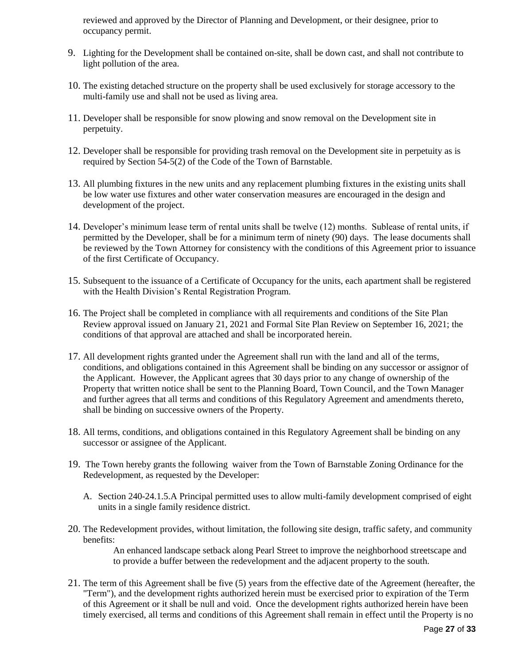reviewed and approved by the Director of Planning and Development, or their designee, prior to occupancy permit.

- 9. Lighting for the Development shall be contained on-site, shall be down cast, and shall not contribute to light pollution of the area.
- 10. The existing detached structure on the property shall be used exclusively for storage accessory to the multi-family use and shall not be used as living area.
- 11. Developer shall be responsible for snow plowing and snow removal on the Development site in perpetuity.
- 12. Developer shall be responsible for providing trash removal on the Development site in perpetuity as is required by Section 54-5(2) of the Code of the Town of Barnstable.
- 13. All plumbing fixtures in the new units and any replacement plumbing fixtures in the existing units shall be low water use fixtures and other water conservation measures are encouraged in the design and development of the project.
- 14. Developer's minimum lease term of rental units shall be twelve (12) months. Sublease of rental units, if permitted by the Developer, shall be for a minimum term of ninety (90) days. The lease documents shall be reviewed by the Town Attorney for consistency with the conditions of this Agreement prior to issuance of the first Certificate of Occupancy.
- 15. Subsequent to the issuance of a Certificate of Occupancy for the units, each apartment shall be registered with the Health Division's Rental Registration Program.
- 16. The Project shall be completed in compliance with all requirements and conditions of the Site Plan Review approval issued on January 21, 2021 and Formal Site Plan Review on September 16, 2021; the conditions of that approval are attached and shall be incorporated herein.
- 17. All development rights granted under the Agreement shall run with the land and all of the terms, conditions, and obligations contained in this Agreement shall be binding on any successor or assignor of the Applicant. However, the Applicant agrees that 30 days prior to any change of ownership of the Property that written notice shall be sent to the Planning Board, Town Council, and the Town Manager and further agrees that all terms and conditions of this Regulatory Agreement and amendments thereto, shall be binding on successive owners of the Property.
- 18. All terms, conditions, and obligations contained in this Regulatory Agreement shall be binding on any successor or assignee of the Applicant.
- 19. The Town hereby grants the following waiver from the Town of Barnstable Zoning Ordinance for the Redevelopment, as requested by the Developer:
	- A. Section 240-24.1.5.A Principal permitted uses to allow multi-family development comprised of eight units in a single family residence district.
- 20. The Redevelopment provides, without limitation, the following site design, traffic safety, and community benefits:

An enhanced landscape setback along Pearl Street to improve the neighborhood streetscape and to provide a buffer between the redevelopment and the adjacent property to the south.

21. The term of this Agreement shall be five (5) years from the effective date of the Agreement (hereafter, the "Term"), and the development rights authorized herein must be exercised prior to expiration of the Term of this Agreement or it shall be null and void. Once the development rights authorized herein have been timely exercised, all terms and conditions of this Agreement shall remain in effect until the Property is no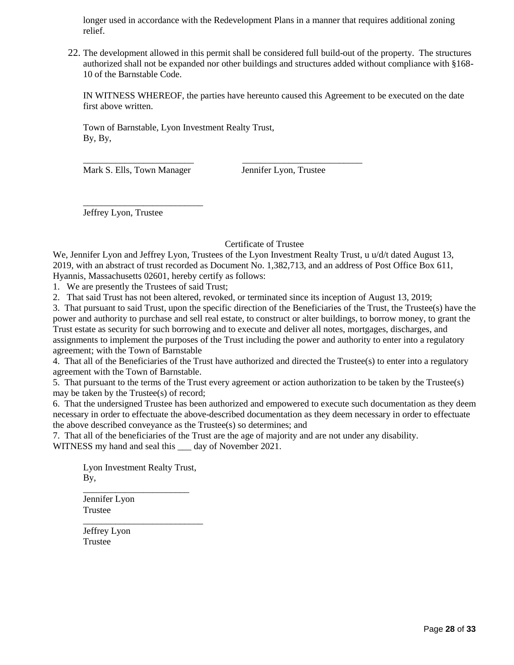longer used in accordance with the Redevelopment Plans in a manner that requires additional zoning relief.

22. The development allowed in this permit shall be considered full build-out of the property. The structures authorized shall not be expanded nor other buildings and structures added without compliance with §168- 10 of the Barnstable Code.

IN WITNESS WHEREOF, the parties have hereunto caused this Agreement to be executed on the date first above written.

Town of Barnstable, Lyon Investment Realty Trust, By, By,

Mark S. Ells, Town Manager Jennifer Lyon, Trustee

\_\_\_\_\_\_\_\_\_\_\_\_\_\_\_\_\_\_\_\_\_\_\_\_\_\_

Jeffrey Lyon, Trustee

#### Certificate of Trustee

We, Jennifer Lyon and Jeffrey Lyon, Trustees of the Lyon Investment Realty Trust, u u/d/t dated August 13, 2019, with an abstract of trust recorded as Document No. 1,382,713, and an address of Post Office Box 611, Hyannis, Massachusetts 02601, hereby certify as follows:

1. We are presently the Trustees of said Trust;

2. That said Trust has not been altered, revoked, or terminated since its inception of August 13, 2019;

\_\_\_\_\_\_\_\_\_\_\_\_\_\_\_\_\_\_\_\_\_\_\_\_ \_\_\_\_\_\_\_\_\_\_\_\_\_\_\_\_\_\_\_\_\_\_\_\_\_\_

3. That pursuant to said Trust, upon the specific direction of the Beneficiaries of the Trust, the Trustee(s) have the power and authority to purchase and sell real estate, to construct or alter buildings, to borrow money, to grant the Trust estate as security for such borrowing and to execute and deliver all notes, mortgages, discharges, and assignments to implement the purposes of the Trust including the power and authority to enter into a regulatory agreement; with the Town of Barnstable

4. That all of the Beneficiaries of the Trust have authorized and directed the Trustee(s) to enter into a regulatory agreement with the Town of Barnstable.

5. That pursuant to the terms of the Trust every agreement or action authorization to be taken by the Trustee(s) may be taken by the Trustee(s) of record;

6. That the undersigned Trustee has been authorized and empowered to execute such documentation as they deem necessary in order to effectuate the above-described documentation as they deem necessary in order to effectuate the above described conveyance as the Trustee(s) so determines; and

7. That all of the beneficiaries of the Trust are the age of majority and are not under any disability. WITNESS my hand and seal this day of November 2021.

Lyon Investment Realty Trust, By, \_\_\_\_\_\_\_\_\_\_\_\_\_\_\_\_\_\_\_\_\_\_\_

\_\_\_\_\_\_\_\_\_\_\_\_\_\_\_\_\_\_\_\_\_\_\_\_\_\_

Jennifer Lyon Trustee

Jeffrey Lyon Trustee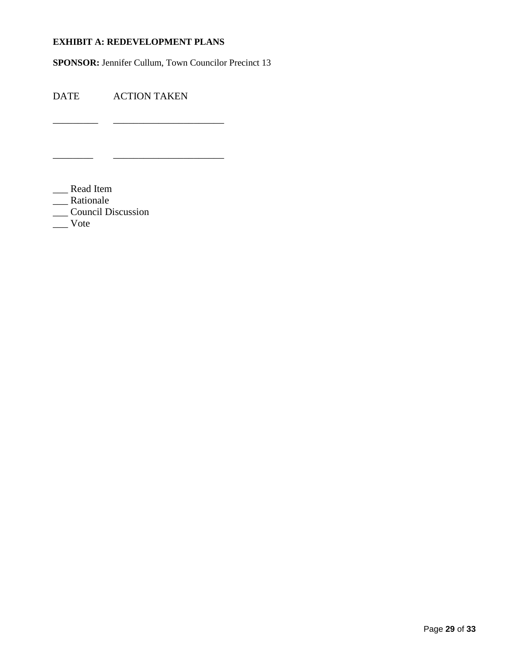#### **EXHIBIT A: REDEVELOPMENT PLANS**

\_\_\_\_\_\_\_\_\_ \_\_\_\_\_\_\_\_\_\_\_\_\_\_\_\_\_\_\_\_\_\_

\_\_\_\_\_\_\_\_ \_\_\_\_\_\_\_\_\_\_\_\_\_\_\_\_\_\_\_\_\_\_

**SPONSOR:** Jennifer Cullum, Town Councilor Precinct 13

DATE ACTION TAKEN

\_\_\_ Read Item

\_\_\_ Rationale

\_\_\_ Council Discussion

\_\_\_ Vote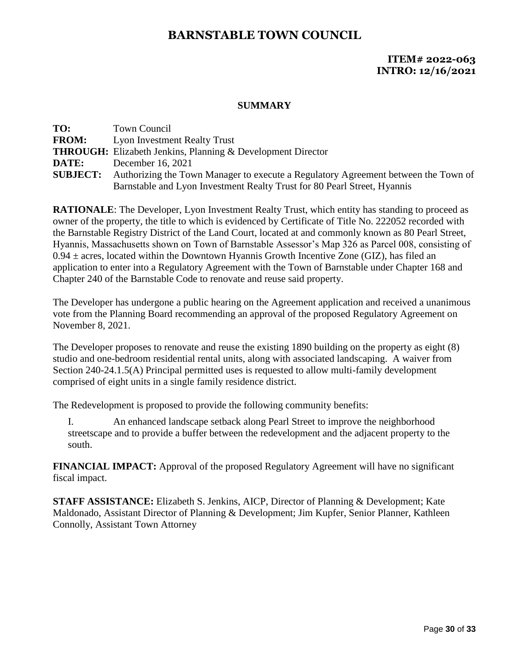## **ITEM# 2022-063 INTRO: 12/16/2021**

#### **SUMMARY**

| TO:             | <b>Town Council</b>                                                                |
|-----------------|------------------------------------------------------------------------------------|
| <b>FROM:</b>    | <b>Lyon Investment Realty Trust</b>                                                |
|                 | <b>THROUGH:</b> Elizabeth Jenkins, Planning & Development Director                 |
| DATE:           | December 16, 2021                                                                  |
| <b>SUBJECT:</b> | Authorizing the Town Manager to execute a Regulatory Agreement between the Town of |
|                 | Barnstable and Lyon Investment Realty Trust for 80 Pearl Street, Hyannis           |
|                 |                                                                                    |

**RATIONALE**: The Developer, Lyon Investment Realty Trust, which entity has standing to proceed as owner of the property, the title to which is evidenced by Certificate of Title No. 222052 recorded with the Barnstable Registry District of the Land Court, located at and commonly known as 80 Pearl Street, Hyannis, Massachusetts shown on Town of Barnstable Assessor's Map 326 as Parcel 008, consisting of  $0.94 \pm \text{ acres}$ , located within the Downtown Hyannis Growth Incentive Zone (GIZ), has filed an application to enter into a Regulatory Agreement with the Town of Barnstable under Chapter 168 and Chapter 240 of the Barnstable Code to renovate and reuse said property.

The Developer has undergone a public hearing on the Agreement application and received a unanimous vote from the Planning Board recommending an approval of the proposed Regulatory Agreement on November 8, 2021.

The Developer proposes to renovate and reuse the existing 1890 building on the property as eight (8) studio and one-bedroom residential rental units, along with associated landscaping. A waiver from Section 240-24.1.5(A) Principal permitted uses is requested to allow multi-family development comprised of eight units in a single family residence district.

The Redevelopment is proposed to provide the following community benefits:

I. An enhanced landscape setback along Pearl Street to improve the neighborhood streetscape and to provide a buffer between the redevelopment and the adjacent property to the south.

**FINANCIAL IMPACT:** Approval of the proposed Regulatory Agreement will have no significant fiscal impact.

**STAFF ASSISTANCE:** Elizabeth S. Jenkins, AICP, Director of Planning & Development; Kate Maldonado, Assistant Director of Planning & Development; Jim Kupfer, Senior Planner, Kathleen Connolly, Assistant Town Attorney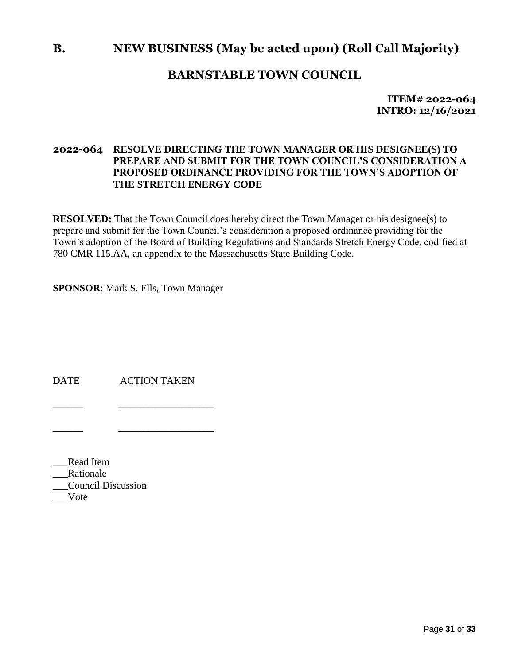# **B. NEW BUSINESS (May be acted upon) (Roll Call Majority)**

# **BARNSTABLE TOWN COUNCIL**

**ITEM# 2022-064 INTRO: 12/16/2021**

### **2022-064 RESOLVE DIRECTING THE TOWN MANAGER OR HIS DESIGNEE(S) TO PREPARE AND SUBMIT FOR THE TOWN COUNCIL'S CONSIDERATION A PROPOSED ORDINANCE PROVIDING FOR THE TOWN'S ADOPTION OF THE STRETCH ENERGY CODE**

**RESOLVED:** That the Town Council does hereby direct the Town Manager or his designee(s) to prepare and submit for the Town Council's consideration a proposed ordinance providing for the Town's adoption of the Board of Building Regulations and Standards Stretch Energy Code, codified at 780 CMR 115.AA, an appendix to the Massachusetts State Building Code.

**SPONSOR**: Mark S. Ells, Town Manager

DATE ACTION TAKEN

\_\_\_\_\_\_ \_\_\_\_\_\_\_\_\_\_\_\_\_\_\_\_\_\_\_

\_\_\_\_\_\_ \_\_\_\_\_\_\_\_\_\_\_\_\_\_\_\_\_\_\_

\_\_\_Read Item \_\_\_Rationale \_\_\_Council Discussion \_\_\_Vote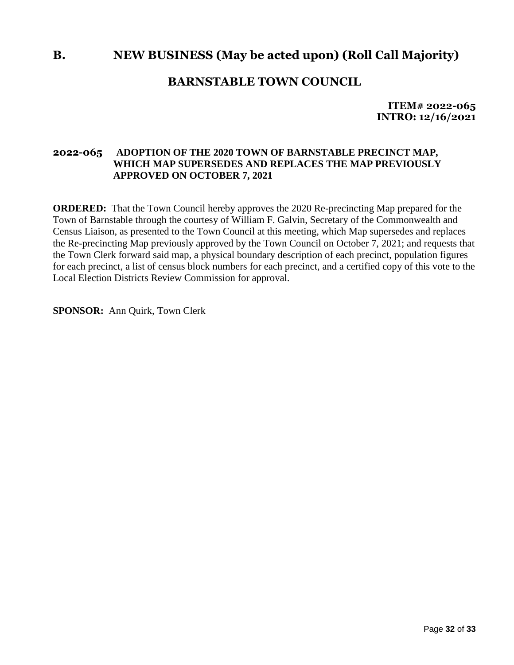# **B. NEW BUSINESS (May be acted upon) (Roll Call Majority)**

## **BARNSTABLE TOWN COUNCIL**

**ITEM# 2022-065 INTRO: 12/16/2021**

#### **2022-065 ADOPTION OF THE 2020 TOWN OF BARNSTABLE PRECINCT MAP, WHICH MAP SUPERSEDES AND REPLACES THE MAP PREVIOUSLY APPROVED ON OCTOBER 7, 2021**

**ORDERED:** That the Town Council hereby approves the 2020 Re-precincting Map prepared for the Town of Barnstable through the courtesy of William F. Galvin, Secretary of the Commonwealth and Census Liaison, as presented to the Town Council at this meeting, which Map supersedes and replaces the Re-precincting Map previously approved by the Town Council on October 7, 2021; and requests that the Town Clerk forward said map, a physical boundary description of each precinct, population figures for each precinct, a list of census block numbers for each precinct, and a certified copy of this vote to the Local Election Districts Review Commission for approval.

**SPONSOR:** Ann Quirk, Town Clerk